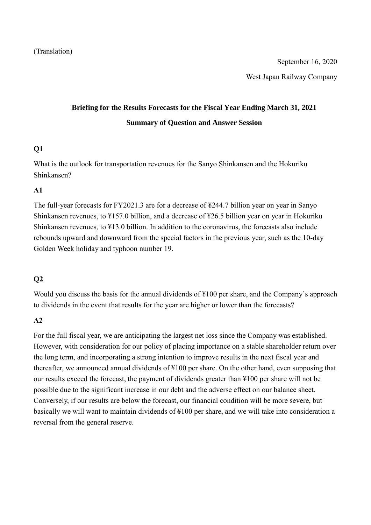West Japan Railway Company

# **Briefing for the Results Forecasts for the Fiscal Year Ending March 31, 2021 Summary of Question and Answer Session**

## **Q1**

What is the outlook for transportation revenues for the Sanyo Shinkansen and the Hokuriku Shinkansen?

## **A1**

The full-year forecasts for FY2021.3 are for a decrease of ¥244.7 billion year on year in Sanyo Shinkansen revenues, to ¥157.0 billion, and a decrease of ¥26.5 billion year on year in Hokuriku Shinkansen revenues, to ¥13.0 billion. In addition to the coronavirus, the forecasts also include rebounds upward and downward from the special factors in the previous year, such as the 10-day Golden Week holiday and typhoon number 19.

# **Q2**

Would you discuss the basis for the annual dividends of  $\text{\#100}$  per share, and the Company's approach to dividends in the event that results for the year are higher or lower than the forecasts?

## **A2**

For the full fiscal year, we are anticipating the largest net loss since the Company was established. However, with consideration for our policy of placing importance on a stable shareholder return over the long term, and incorporating a strong intention to improve results in the next fiscal year and thereafter, we announced annual dividends of ¥100 per share. On the other hand, even supposing that our results exceed the forecast, the payment of dividends greater than ¥100 per share will not be possible due to the significant increase in our debt and the adverse effect on our balance sheet. Conversely, if our results are below the forecast, our financial condition will be more severe, but basically we will want to maintain dividends of ¥100 per share, and we will take into consideration a reversal from the general reserve.